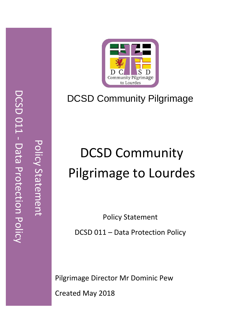

# DCSD Community Pilgrimage

# DCSD Community Pilgrimage to Lourdes

Policy Statement

DCSD 011 – Data Protection Policy

 Pilgrimage Director Mr Dominic Pew Created May 2018

Policy Statement

Policy Statement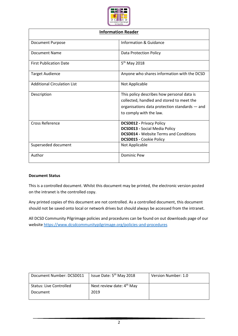

| <b>Information Reader</b>          |                                                                                                                                                                     |  |
|------------------------------------|---------------------------------------------------------------------------------------------------------------------------------------------------------------------|--|
| <b>Document Purpose</b>            | Information & Guidance                                                                                                                                              |  |
| Document Name                      | <b>Data Protection Policy</b>                                                                                                                                       |  |
| <b>First Publication Date</b>      | 5 <sup>th</sup> May 2018                                                                                                                                            |  |
| <b>Target Audience</b>             | Anyone who shares information with the DCSD                                                                                                                         |  |
| <b>Additional Circulation List</b> | Not Applicable                                                                                                                                                      |  |
| Description                        | This policy describes how personal data is<br>collected, handled and stored to meet the<br>organisations data protection standards – and<br>to comply with the law. |  |
| <b>Cross Reference</b>             | <b>DCSD012 - Privacy Policy</b><br><b>DCSD013 - Social Media Policy</b><br><b>DCSD014 - Website Terms and Conditions</b><br><b>DCSD015 - Cookie Policy</b>          |  |
| Superseded document                | Not Applicable                                                                                                                                                      |  |
| Author                             | Dominic Pew                                                                                                                                                         |  |

#### **Document Status**

This is a controlled document. Whilst this document may be printed, the electronic version posted on the intranet is the controlled copy.

Any printed copies of this document are not controlled. As a controlled document, this document should not be saved onto local or network drives but should always be accessed from the intranet.

All DCSD Community Pilgrimage policies and procedures can be found on out downloads page of our websit[e https://www.dcsdcommunitypilgrimage.org/policies-and-procedures](https://www.dcsdcommunitypilgrimage.org/policies-and-procedures)

| Document Number: DCSD011       | Issue Date: 5 <sup>th</sup> May 2018 | Version Number: 1.0 |
|--------------------------------|--------------------------------------|---------------------|
| <b>Status: Live Controlled</b> | Next review date: $4th$ May          |                     |
| Document                       | 2019                                 |                     |
|                                |                                      |                     |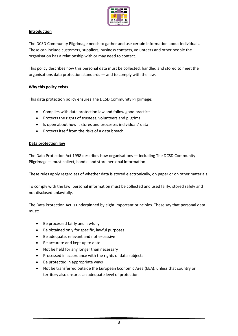

#### **Introduction**

The DCSD Community Pilgrimage needs to gather and use certain information about individuals. These can include customers, suppliers, business contacts, volunteers and other people the organisation has a relationship with or may need to contact.

This policy describes how this personal data must be collected, handled and stored to meet the organisations data protection standards — and to comply with the law.

#### **Why this policy exists**

This data protection policy ensures The DCSD Community Pilgrimage:

- Complies with data protection law and follow good practice
- Protects the rights of trustees, volunteers and pilgrims
- Is open about how it stores and processes individuals' data
- Protects itself from the risks of a data breach

#### **Data protection law**

The Data Protection Act 1998 describes how organisations — including The DCSD Community Pilgrimage— must collect, handle and store personal information.

These rules apply regardless of whether data is stored electronically, on paper or on other materials.

To comply with the law, personal information must be collected and used fairly, stored safely and not disclosed unlawfully.

The Data Protection Act is underpinned by eight important principles. These say that personal data must:

- Be processed fairly and lawfully
- Be obtained only for specific, lawful purposes
- Be adequate, relevant and not excessive
- Be accurate and kept up to date
- Not be held for any longer than necessary
- Processed in accordance with the rights of data subjects
- Be protected in appropriate ways
- Not be transferred outside the European Economic Area (EEA), unless that country or territory also ensures an adequate level of protection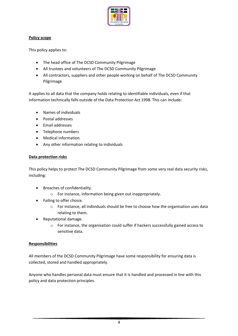

#### **Policy scope**

This policy applies to:

- The head office of The DCSD Community Pilgrimage
- All trustees and volunteers of The DCSD Community Pilgrimage
- All contractors, suppliers and other people working on behalf of The DCSD Community Pilgrimage

It applies to all data that the company holds relating to identifiable individuals, even if that information technically falls outside of the Data Protection Act 1998. This can include:

- Names of individuals
- Postal addresses
- Email addresses
- Telephone numbers
- Medical information
- Any other information relating to individuals

#### **Data protection risks**

This policy helps to protect The DCSD Community Pilgrimage from some very real data security risks, including:

- Breaches of confidentiality.
	- o For instance, information being given out inappropriately.
- Failing to offer choice.
	- o For instance, all individuals should be free to choose how the organisation uses data relating to them.
- Reputational damage.
	- $\circ$  For instance, the organisation could suffer if hackers successfully gained access to sensitive data.

# **Responsibilities**

All members of the DCSD Community Pilgrimage have some responsibility for ensuring data is collected, stored and handled appropriately.

Anyone who handles personal data must ensure that it is handled and processed in line with this policy and data protection principles.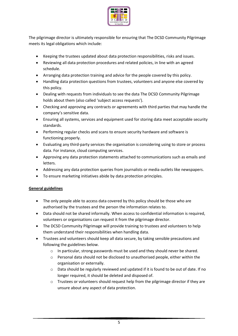

The pilgrimage director is ultimately responsible for ensuring that The DCSD Community Pilgrimage meets its legal obligations which include:

- Keeping the trustees updated about data protection responsibilities, risks and issues.
- Reviewing all data protection procedures and related policies, in line with an agreed schedule.
- Arranging data protection training and advice for the people covered by this policy.
- Handling data protection questions from trustees, volunteers and anyone else covered by this policy.
- Dealing with requests from individuals to see the data The DCSD Community Pilgrimage holds about them (also called 'subject access requests').
- Checking and approving any contracts or agreements with third parties that may handle the company's sensitive data.
- Ensuring all systems, services and equipment used for storing data meet acceptable security standards.
- Performing regular checks and scans to ensure security hardware and software is functioning properly.
- Evaluating any third-party services the organisation is considering using to store or process data. For instance, cloud computing services.
- Approving any data protection statements attached to communications such as emails and letters.
- Addressing any data protection queries from journalists or media outlets like newspapers.
- To ensure marketing initiatives abide by data protection principles.

# **General guidelines**

- The only people able to access data covered by this policy should be those who are authorised by the trustees and the person the information relates to.
- Data should not be shared informally. When access to confidential information is required, volunteers or organisations can request it from the pilgrimage director.
- The DCSD Community Pilgrimage will provide training to trustees and volunteers to help them understand their responsibilities when handling data.
- Trustees and volunteers should keep all data secure, by taking sensible precautions and following the guidelines below.
	- o In particular, strong passwords must be used and they should never be shared.
	- o Personal data should not be disclosed to unauthorised people, either within the organisation or externally.
	- $\circ$  Data should be regularly reviewed and updated if it is found to be out of date. If no longer required, it should be deleted and disposed of.
	- $\circ$  Trustees or volunteers should request help from the pilgrimage director if they are unsure about any aspect of data protection.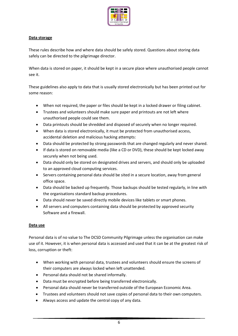

# **Data storage**

These rules describe how and where data should be safely stored. Questions about storing data safely can be directed to the pilgrimage director.

When data is stored on paper, it should be kept in a secure place where unauthorised people cannot see it.

These guidelines also apply to data that is usually stored electronically but has been printed out for some reason:

- When not required, the paper or files should be kept in a locked drawer or filing cabinet.
- Trustees and volunteers should make sure paper and printouts are not left where unauthorised people could see them.
- Data printouts should be shredded and disposed of securely when no longer required.
- When data is stored electronically, it must be protected from unauthorised access, accidental deletion and malicious hacking attempts:
- Data should be protected by strong passwords that are changed regularly and never shared.
- If data is stored on removable media (like a CD or DVD), these should be kept locked away securely when not being used.
- Data should only be stored on designated drives and servers, and should only be uploaded to an approved cloud computing services.
- Servers containing personal data should be sited in a secure location, away from general office space.
- Data should be backed up frequently. Those backups should be tested regularly, in line with the organisations standard backup procedures.
- Data should never be saved directly mobile devices like tablets or smart phones.
- All servers and computers containing data should be protected by approved security Software and a firewall.

# **Data use**

Personal data is of no value to The DCSD Community Pilgrimage unless the organisation can make use of it. However, it is when personal data is accessed and used that it can be at the greatest risk of loss, corruption or theft:

- When working with personal data, trustees and volunteers should ensure the screens of their computers are always locked when left unattended.
- Personal data should not be shared informally.
- Data must be encrypted before being transferred electronically.
- Personal data should never be transferred outside of the European Economic Area.
- Trustees and volunteers should not save copies of personal data to their own computers.
- Always access and update the central copy of any data.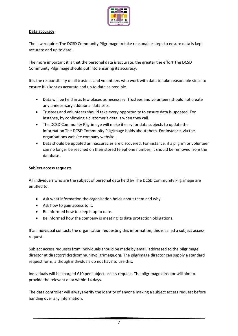

#### **Data accuracy**

The law requires The DCSD Community Pilgrimage to take reasonable steps to ensure data is kept accurate and up to date.

The more important it is that the personal data is accurate, the greater the effort The DCSD Community Pilgrimage should put into ensuring its accuracy.

It is the responsibility of all trustees and volunteers who work with data to take reasonable steps to ensure it is kept as accurate and up to date as possible.

- Data will be held in as few places as necessary. Trustees and volunteers should not create any unnecessary additional data sets.
- Trustees and volunteers should take every opportunity to ensure data is updated. For instance, by confirming a customer's details when they call.
- The DCSD Community Pilgrimage will make it easy for data subjects to update the information The DCSD Community Pilgrimage holds about them. For instance, via the organisations website company website.
- Data should be updated as inaccuracies are discovered. For instance, if a pilgrim or volunteer can no longer be reached on their stored telephone number, it should be removed from the database.

#### **Subject access requests**

All individuals who are the subject of personal data held by The DCSD Community Pilgrimage are entitled to:

- Ask what information the organisation holds about them and why.
- Ask how to gain access to it.
- Be informed how to keep it up to date.
- Be informed how the company is meeting its data protection obligations.

If an individual contacts the organisation requesting this information, this is called a subject access request.

Subject access requests from individuals should be made by email, addressed to the pilgrimage director at director@dcsdcommunitypilgrimage.org. The pilgrimage director can supply a standard request form, although individuals do not have to use this.

Individuals will be charged £10 per subject access request. The pilgrimage director will aim to provide the relevant data within 14 days.

The data controller will always verify the identity of anyone making a subject access request before handing over any information.